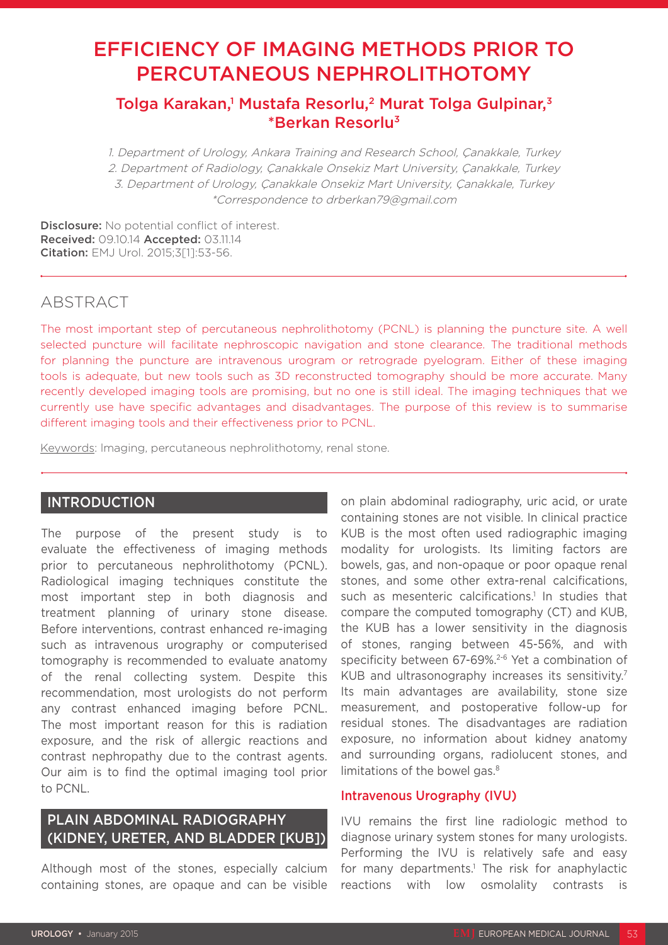# EFFICIENCY OF IMAGING METHODS PRIOR TO PERCUTANEOUS NEPHROLITHOTOMY

## Tolga Karakan,<sup>1</sup> Mustafa Resorlu,<sup>2</sup> Murat Tolga Gulpinar,<sup>3</sup> \*Berkan Resorlu3

1. Department of Urology, Ankara Training and Research School, Çanakkale, Turkey 2. Department of Radiology, Çanakkale Onsekiz Mart University, Çanakkale, Turkey 3. Department of Urology, Çanakkale Onsekiz Mart University, Çanakkale, Turkey \*Correspondence to drberkan79@gmail.com

Disclosure: No potential conflict of interest. Received: 09.10.14 Accepted: 03.11.14 Citation: EMJ Urol. 2015;3[1]:53-56.

## **ABSTRACT**

The most important step of percutaneous nephrolithotomy (PCNL) is planning the puncture site. A well selected puncture will facilitate nephroscopic navigation and stone clearance. The traditional methods for planning the puncture are intravenous urogram or retrograde pyelogram. Either of these imaging tools is adequate, but new tools such as 3D reconstructed tomography should be more accurate. Many recently developed imaging tools are promising, but no one is still ideal. The imaging techniques that we currently use have specific advantages and disadvantages. The purpose of this review is to summarise different imaging tools and their effectiveness prior to PCNL.

Keywords: lmaging, percutaneous nephrolithotomy, renal stone.

### INTRODUCTION

The purpose of the present study is to evaluate the effectiveness of imaging methods prior to percutaneous nephrolithotomy (PCNL). Radiological imaging techniques constitute the most important step in both diagnosis and treatment planning of urinary stone disease. Before interventions, contrast enhanced re-imaging such as intravenous urography or computerised tomography is recommended to evaluate anatomy of the renal collecting system. Despite this recommendation, most urologists do not perform any contrast enhanced imaging before PCNL. The most important reason for this is radiation exposure, and the risk of allergic reactions and contrast nephropathy due to the contrast agents. Our aim is to find the optimal imaging tool prior to PCNL.

## PLAIN ABDOMINAL RADIOGRAPHY (KIDNEY, URETER, AND BLADDER [KUB])

Although most of the stones, especially calcium containing stones, are opaque and can be visible

on plain abdominal radiography, uric acid, or urate containing stones are not visible. In clinical practice KUB is the most often used radiographic imaging modality for urologists. Its limiting factors are bowels, gas, and non-opaque or poor opaque renal stones, and some other extra-renal calcifications, such as mesenteric calcifications.<sup>1</sup> In studies that compare the computed tomography (CT) and KUB, the KUB has a lower sensitivity in the diagnosis of stones, ranging between 45-56%, and with specificity between 67-69%.<sup>2-6</sup> Yet a combination of KUB and ultrasonography increases its sensitivity.<sup>7</sup> Its main advantages are availability, stone size measurement, and postoperative follow-up for residual stones. The disadvantages are radiation exposure, no information about kidney anatomy and surrounding organs, radiolucent stones, and limitations of the bowel gas.<sup>8</sup>

#### Intravenous Urography (IVU)

IVU remains the first line radiologic method to diagnose urinary system stones for many urologists. Performing the IVU is relatively safe and easy for many departments.<sup>1</sup> The risk for anaphylactic reactions with low osmolality contrasts is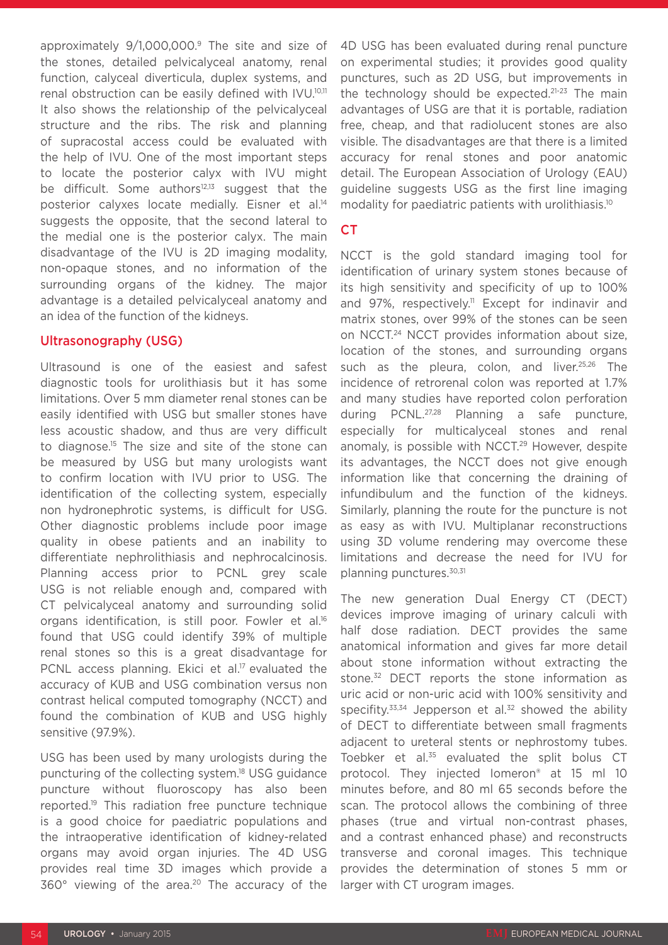approximately 9/1,000,000.9 The site and size of the stones, detailed pelvicalyceal anatomy, renal function, calyceal diverticula, duplex systems, and renal obstruction can be easily defined with IVU.10,11 It also shows the relationship of the pelvicalyceal structure and the ribs. The risk and planning of supracostal access could be evaluated with the help of IVU. One of the most important steps to locate the posterior calyx with IVU might be difficult. Some authors<sup>12,13</sup> suggest that the posterior calyxes locate medially. Eisner et al.14 suggests the opposite, that the second lateral to the medial one is the posterior calyx. The main disadvantage of the IVU is 2D imaging modality, non-opaque stones, and no information of the surrounding organs of the kidney. The major advantage is a detailed pelvicalyceal anatomy and an idea of the function of the kidneys.

#### Ultrasonography (USG)

Ultrasound is one of the easiest and safest diagnostic tools for urolithiasis but it has some limitations. Over 5 mm diameter renal stones can be easily identified with USG but smaller stones have less acoustic shadow, and thus are very difficult to diagnose.15 The size and site of the stone can be measured by USG but many urologists want to confirm location with IVU prior to USG. The identification of the collecting system, especially non hydronephrotic systems, is difficult for USG. Other diagnostic problems include poor image quality in obese patients and an inability to differentiate nephrolithiasis and nephrocalcinosis. Planning access prior to PCNL grey scale USG is not reliable enough and, compared with CT pelvicalyceal anatomy and surrounding solid organs identification, is still poor. Fowler et al.16 found that USG could identify 39% of multiple renal stones so this is a great disadvantage for PCNL access planning. Ekici et al.<sup>17</sup> evaluated the accuracy of KUB and USG combination versus non contrast helical computed tomography (NCCT) and found the combination of KUB and USG highly sensitive (97.9%).

USG has been used by many urologists during the puncturing of the collecting system.18 USG guidance puncture without fluoroscopy has also been reported.19 This radiation free puncture technique is a good choice for paediatric populations and the intraoperative identification of kidney-related organs may avoid organ injuries. The 4D USG provides real time 3D images which provide a 360° viewing of the area.20 The accuracy of the

4D USG has been evaluated during renal puncture on experimental studies; it provides good quality punctures, such as 2D USG, but improvements in the technology should be expected.<sup>21-23</sup> The main advantages of USG are that it is portable, radiation free, cheap, and that radiolucent stones are also visible. The disadvantages are that there is a limited accuracy for renal stones and poor anatomic detail. The European Association of Urology (EAU) guideline suggests USG as the first line imaging modality for paediatric patients with urolithiasis.<sup>10</sup>

#### CT

NCCT is the gold standard imaging tool for identification of urinary system stones because of its high sensitivity and specificity of up to 100% and 97%, respectively.<sup>11</sup> Except for indinavir and matrix stones, over 99% of the stones can be seen on NCCT.24 NCCT provides information about size, location of the stones, and surrounding organs such as the pleura, colon, and liver.<sup>25,26</sup> The incidence of retrorenal colon was reported at 1.7% and many studies have reported colon perforation during PCNL.27,28 Planning a safe puncture, especially for multicalyceal stones and renal anomaly, is possible with NCCT.<sup>29</sup> However, despite its advantages, the NCCT does not give enough information like that concerning the draining of infundibulum and the function of the kidneys. Similarly, planning the route for the puncture is not as easy as with IVU. Multiplanar reconstructions using 3D volume rendering may overcome these limitations and decrease the need for IVU for planning punctures.30,31

The new generation Dual Energy CT (DECT) devices improve imaging of urinary calculi with half dose radiation. DECT provides the same anatomical information and gives far more detail about stone information without extracting the stone.<sup>32</sup> DECT reports the stone information as uric acid or non-uric acid with 100% sensitivity and specifity.<sup>33,34</sup> Jepperson et al.<sup>32</sup> showed the ability of DECT to differentiate between small fragments adjacent to ureteral stents or nephrostomy tubes. Toebker et al.<sup>35</sup> evaluated the split bolus CT protocol. They injected Iomeron® at 15 ml 10 minutes before, and 80 ml 65 seconds before the scan. The protocol allows the combining of three phases (true and virtual non-contrast phases, and a contrast enhanced phase) and reconstructs transverse and coronal images. This technique provides the determination of stones 5 mm or larger with CT urogram images.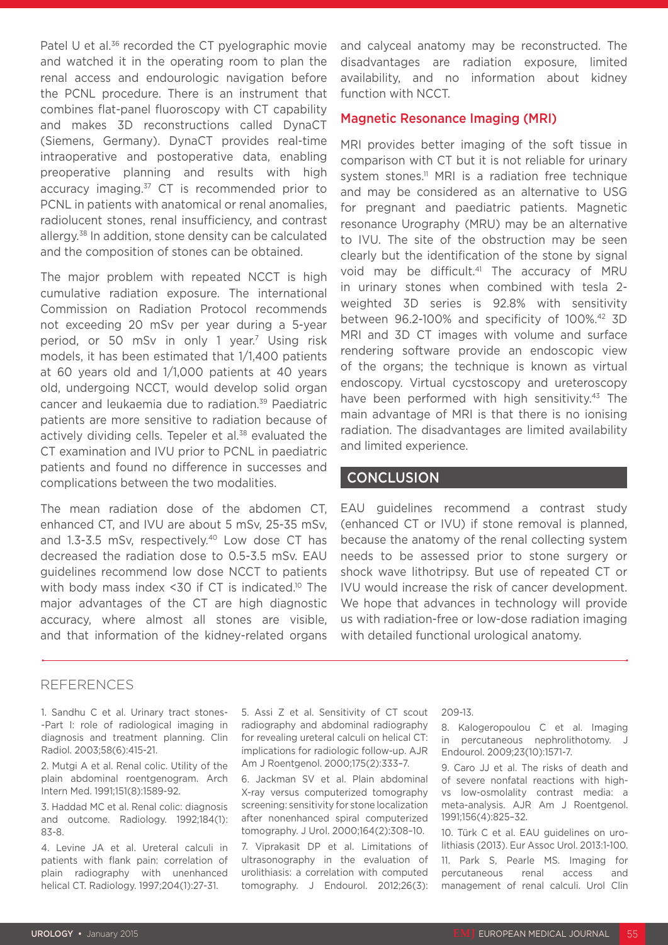Patel U et al.<sup>36</sup> recorded the CT pyelographic movie and watched it in the operating room to plan the renal access and endourologic navigation before the PCNL procedure. There is an instrument that combines flat-panel fluoroscopy with CT capability and makes 3D reconstructions called DynaCT (Siemens, Germany). DynaCT provides real-time intraoperative and postoperative data, enabling preoperative planning and results with high accuracy imaging.<sup>37</sup> CT is recommended prior to PCNL in patients with anatomical or renal anomalies, radiolucent stones, renal insufficiency, and contrast allergy.38 In addition, stone density can be calculated and the composition of stones can be obtained.

The major problem with repeated NCCT is high cumulative radiation exposure. The international Commission on Radiation Protocol recommends not exceeding 20 mSv per year during a 5-year period, or 50 mSv in only 1 year.<sup>7</sup> Using risk models, it has been estimated that 1/1,400 patients at 60 years old and 1/1,000 patients at 40 years old, undergoing NCCT, would develop solid organ cancer and leukaemia due to radiation.39 Paediatric patients are more sensitive to radiation because of actively dividing cells. Tepeler et al.<sup>38</sup> evaluated the CT examination and IVU prior to PCNL in paediatric patients and found no difference in successes and complications between the two modalities.

The mean radiation dose of the abdomen CT, enhanced CT, and IVU are about 5 mSv, 25-35 mSv, and 1.3-3.5 mSv, respectively.<sup>40</sup> Low dose CT has decreased the radiation dose to 0.5-3.5 mSv. EAU guidelines recommend low dose NCCT to patients with body mass index <30 if CT is indicated.<sup>10</sup> The major advantages of the CT are high diagnostic accuracy, where almost all stones are visible, and that information of the kidney-related organs

and calyceal anatomy may be reconstructed. The disadvantages are radiation exposure, limited availability, and no information about kidney function with NCCT.

#### Magnetic Resonance Imaging (MRI)

MRI provides better imaging of the soft tissue in comparison with CT but it is not reliable for urinary system stones.<sup>11</sup> MRI is a radiation free technique and may be considered as an alternative to USG for pregnant and paediatric patients. Magnetic resonance Urography (MRU) may be an alternative to IVU. The site of the obstruction may be seen clearly but the identification of the stone by signal void may be difficult.<sup>41</sup> The accuracy of MRU in urinary stones when combined with tesla 2 weighted 3D series is 92.8% with sensitivity between 96.2-100% and specificity of 100%.<sup>42</sup> 3D MRI and 3D CT images with volume and surface rendering software provide an endoscopic view of the organs; the technique is known as virtual endoscopy. Virtual cycstoscopy and ureteroscopy have been performed with high sensitivity.<sup>43</sup> The main advantage of MRI is that there is no ionising radiation. The disadvantages are limited availability and limited experience.

#### **CONCLUSION**

EAU guidelines recommend a contrast study (enhanced CT or IVU) if stone removal is planned, because the anatomy of the renal collecting system needs to be assessed prior to stone surgery or shock wave lithotripsy. But use of repeated CT or IVU would increase the risk of cancer development. We hope that advances in technology will provide us with radiation-free or low-dose radiation imaging with detailed functional urological anatomy.

#### REFERENCES

1. Sandhu C et al. Urinary tract stones- -Part I: role of radiological imaging in diagnosis and treatment planning. Clin Radiol. 2003;58(6):415-21.

2. Mutgi A et al. Renal colic. Utility of the plain abdominal roentgenogram. Arch Intern Med. 1991;151(8):1589-92.

3. Haddad MC et al. Renal colic: diagnosis and outcome. Radiology. 1992;184(1): 83-8.

4. Levine JA et al. Ureteral calculi in patients with flank pain: correlation of plain radiography with unenhanced helical CT. Radiology. 1997;204(1):27-31.

5. Assi Z et al. Sensitivity of CT scout radiography and abdominal radiography for revealing ureteral calculi on helical CT: implications for radiologic follow-up. AJR Am J Roentgenol. 2000;175(2):333–7.

6. Jackman SV et al. Plain abdominal X-ray versus computerized tomography screening: sensitivity for stone localization after nonenhanced spiral computerized tomography. J Urol. 2000;164(2):308–10.

7. Viprakasit DP et al. Limitations of ultrasonography in the evaluation of urolithiasis: a correlation with computed tomography. J Endourol. 2012;26(3): 209-13.

8. Kalogeropoulou C et al. Imaging in percutaneous nephrolithotomy. J Endourol. 2009;23(10):1571-7.

9. Caro JJ et al. The risks of death and of severe nonfatal reactions with highvs low-osmolality contrast media: a meta-analysis. AJR Am J Roentgenol. 1991;156(4):825–32.

10. Türk C et al. EAU guidelines on urolithiasis (2013). Eur Assoc Urol. 2013:1-100.

11. Park S, Pearle MS. Imaging for percutaneous renal access and management of renal calculi. Urol Clin